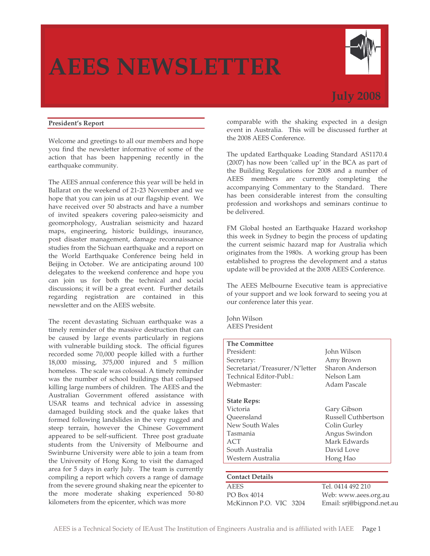# **AEES NEWSLETTER**



# **July 2008**

# **President's Report**

Welcome and greetings to all our members and hope you find the newsletter informative of some of the action that has been happening recently in the earthquake community.

The AEES annual conference this year will be held in Ballarat on the weekend of 21-23 November and we hope that you can join us at our flagship event. We have received over 50 abstracts and have a number of invited speakers covering paleo-seismicity and geomorphology, Australian seismicity and hazard maps, engineering, historic buildings, insurance, post disaster management, damage reconnaissance studies from the Sichuan earthquake and a report on the World Earthquake Conference being held in Beijing in October. We are anticipating around 100 delegates to the weekend conference and hope you can join us for both the technical and social discussions; it will be a great event. Further details regarding registration are contained in this newsletter and on the AEES website.

The recent devastating Sichuan earthquake was a timely reminder of the massive destruction that can be caused by large events particularly in regions with vulnerable building stock. The official figures recorded some 70,000 people killed with a further 18,000 missing, 375,000 injured and 5 million homeless. The scale was colossal. A timely reminder was the number of school buildings that collapsed killing large numbers of children. The AEES and the Australian Government offered assistance with USAR teams and technical advice in assessing damaged building stock and the quake lakes that formed following landslides in the very rugged and steep terrain, however the Chinese Government appeared to be self-sufficient. Three post graduate students from the University of Melbourne and Swinburne University were able to join a team from the University of Hong Kong to visit the damaged area for 5 days in early July. The team is currently compiling a report which covers a range of damage from the severe ground shaking near the epicenter to the more moderate shaking experienced 50-80 kilometers from the epicenter, which was more

comparable with the shaking expected in a design event in Australia. This will be discussed further at the 2008 AEES Conference.

The updated Earthquake Loading Standard AS1170.4 (2007) has now been 'called up' in the BCA as part of the Building Regulations for 2008 and a number of AEES members are currently completing the accompanying Commentary to the Standard. There has been considerable interest from the consulting profession and workshops and seminars continue to be delivered.

FM Global hosted an Earthquake Hazard workshop this week in Sydney to begin the process of updating the current seismic hazard map for Australia which originates from the 1980s. A working group has been established to progress the development and a status update will be provided at the 2008 AEES Conference.

The AEES Melbourne Executive team is appreciative of your support and we look forward to seeing you at our conference later this year.

John Wilson AEES President

| <b>The Committee</b>           |                           |
|--------------------------------|---------------------------|
| President:                     | John Wilson               |
| Secretary:                     | Amy Brown                 |
| Secretariat/Treasurer/N'letter | Sharon Anderson           |
| Technical Editor-Publ.:        | Nelson Lam                |
| Webmaster:                     | Adam Pascale              |
| <b>State Reps:</b>             |                           |
| Victoria                       | Gary Gibson               |
| Queensland                     | Russell Cuthbertson       |
| New South Wales                | Colin Gurley              |
| Tasmania                       | Angus Swindon             |
| ACT                            | Mark Edwards              |
| South Australia                | David Love                |
| Western Australia              | Hong Hao                  |
| <b>Contact Details</b>         |                           |
| <b>AEES</b>                    | Tel. 0414 492 210         |
| PO Box 4014                    | Web: www.aees.org.au      |
| McKinnon P.O. VIC 3204         | Email: srj@bigpond.net.au |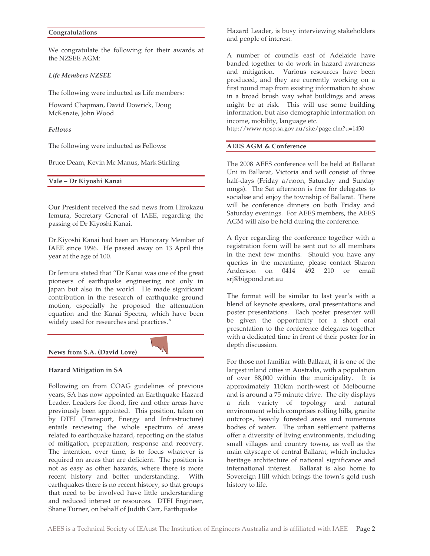#### **Congratulations**

We congratulate the following for their awards at the NZSEE AGM:

#### *Life Members NZSEE*

The following were inducted as Life members:

Howard Chapman, David Dowrick, Doug McKenzie, John Wood

#### *Fellows*

The following were inducted as Fellows:

Bruce Deam, Kevin Mc Manus, Mark Stirling

**Vale – Dr Kiyoshi Kanai**

Our President received the sad news from Hirokazu Iemura, Secretary General of IAEE, regarding the passing of Dr Kiyoshi Kanai.

Dr.Kiyoshi Kanai had been an Honorary Member of IAEE since 1996. He passed away on 13 April this year at the age of 100.

Dr Iemura stated that "Dr Kanai was one of the great pioneers of earthquake engineering not only in Japan but also in the world. He made significant contribution in the research of earthquake ground motion, especially he proposed the attenuation equation and the Kanai Spectra, which have been widely used for researches and practices."



#### **Hazard Mitigation in SA**

Following on from COAG guidelines of previous years, SA has now appointed an Earthquake Hazard Leader. Leaders for flood, fire and other areas have previously been appointed. This position, taken on by DTEI (Transport, Energy and Infrastructure) entails reviewing the whole spectrum of areas related to earthquake hazard, reporting on the status of mitigation, preparation, response and recovery. The intention, over time, is to focus whatever is required on areas that are deficient. The position is not as easy as other hazards, where there is more recent history and better understanding. With earthquakes there is no recent history, so that groups that need to be involved have little understanding and reduced interest or resources. DTEI Engineer, Shane Turner, on behalf of Judith Carr, Earthquake

Hazard Leader, is busy interviewing stakeholders and people of interest.

A number of councils east of Adelaide have banded together to do work in hazard awareness and mitigation. Various resources have been produced, and they are currently working on a first round map from existing information to show in a broad brush way what buildings and areas might be at risk. This will use some building information, but also demographic information on income, mobility, language etc.

http://www.npsp.sa.gov.au/site/page.cfm?u=1450

#### **AEES AGM & Conference**

The 2008 AEES conference will be held at Ballarat Uni in Ballarat, Victoria and will consist of three half-days (Friday a/noon, Saturday and Sunday mngs). The Sat afternoon is free for delegates to socialise and enjoy the township of Ballarat. There will be conference dinners on both Friday and Saturday evenings. For AEES members, the AEES AGM will also be held during the conference.

A flyer regarding the conference together with a registration form will be sent out to all members in the next few months. Should you have any queries in the meantime, please contact Sharon Anderson on 0414 492 210 or email srj@bigpond.net.au

The format will be similar to last year's with a blend of keynote speakers, oral presentations and poster presentations. Each poster presenter will be given the opportunity for a short oral presentation to the conference delegates together with a dedicated time in front of their poster for in depth discussion.

For those not familiar with Ballarat, it is one of the largest inland cities in Australia, with a population of over 88,000 within the municipality. It is approximately 110km north-west of Melbourne and is around a 75 minute drive. The city displays a rich variety of topology and natural environment which comprises rolling hills, granite outcrops, heavily forested areas and numerous bodies of water. The urban settlement patterns offer a diversity of living environments, including small villages and country towns, as well as the main cityscape of central Ballarat, which includes heritage architecture of national significance and international interest. Ballarat is also home to Sovereign Hill which brings the town's gold rush history to life.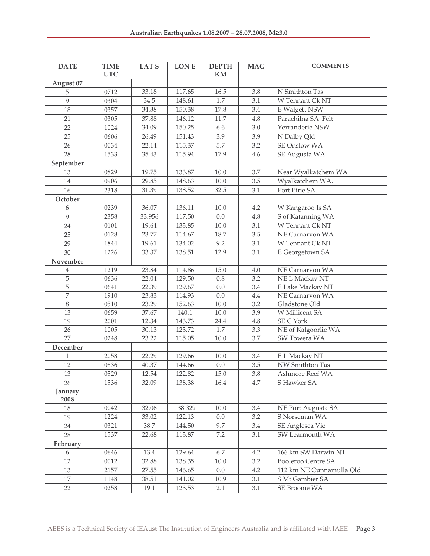| <b>DATE</b>     | <b>TIME</b><br><b>UTC</b> | <b>LATS</b> | LON E   | <b>DEPTH</b><br>KM | <b>MAG</b> | <b>COMMENTS</b>           |
|-----------------|---------------------------|-------------|---------|--------------------|------------|---------------------------|
| August 07       |                           |             |         |                    |            |                           |
| 5               | 0712                      | 33.18       | 117.65  | 16.5               | 3.8        | N Smithton Tas            |
| 9               | 0304                      | 34.5        | 148.61  | 1.7                | 3.1        | W Tennant Ck NT           |
| 18              | 0357                      | 34.38       | 150.38  | 17.8               | 3.4        | E Walgett NSW             |
| 21              | 0305                      | 37.88       | 146.12  | 11.7               | 4.8        | Parachilna SA Felt        |
| 22              | 1024                      | 34.09       | 150.25  | 6.6                | 3.0        | Yerranderie NSW           |
| 25              | 0606                      | 26.49       | 151.43  | 3.9                | 3.9        | N Dalby Qld               |
| 26              | 0034                      | 22.14       | 115.37  | 5.7                | 3.2        | SE Onslow WA              |
| 28              | 1533                      | 35.43       | 115.94  | 17.9               | 4.6        | SE Augusta WA             |
| September       |                           |             |         |                    |            |                           |
| 13              | 0829                      | 19.75       | 133.87  | 10.0               | 3.7        | Near Wyalkatchem WA       |
| 14              | 0906                      | 29.85       | 148.63  | 10.0               | 3.5        | Wyalkatchem WA.           |
| 16              | 2318                      | 31.39       | 138.52  | 32.5               | 3.1        | Port Pirie SA.            |
| October         |                           |             |         |                    |            |                           |
| 6               | 0239                      | 36.07       | 136.11  | 10.0               | 4.2        | W Kangaroo Is SA          |
| 9               | 2358                      | 33.956      | 117.50  | 0.0                | $4.8\,$    | S of Katanning WA         |
| 24              | 0101                      | 19.64       | 133.85  | 10.0               | 3.1        | W Tennant Ck NT           |
| 25              | 0128                      | 23.77       | 114.67  | 18.7               | 3.5        | NE Carnarvon WA           |
| 29              | 1844                      | 19.61       | 134.02  | 9.2                | 3.1        | W Tennant Ck NT           |
| 30              | 1226                      | 33.37       | 138.51  | 12.9               | 3.1        | E Georgetown SA           |
| November        |                           |             |         |                    |            |                           |
| $\overline{4}$  | 1219                      | 23.84       | 114.86  | 15.0               | 4.0        | NE Carnarvon WA           |
| 5               | 0636                      | 22.04       | 129.50  | $0.8\,$            | 3.2        | NE L Mackay NT            |
| 5               | 0641                      | 22.39       | 129.67  | 0.0                | 3.4        | E Lake Mackay NT          |
| 7               | 1910                      | 23.83       | 114.93  | 0.0                | 4.4        | NE Carnarvon WA           |
| $8\,$           | 0510                      | 23.29       | 152.63  | 10.0               | 3.2        | Gladstone Qld             |
| 13              | 0659                      | 37.67       | 140.1   | 10.0               | 3.9        | W Millicent SA            |
| 19              | 2001                      | 12.34       | 143.73  | 24.4               | 4.8        | SE C York                 |
| 26              | 1005                      | 30.13       | 123.72  | $1.7\,$            | 3.3        | NE of Kalgoorlie WA       |
| $\overline{27}$ | 0248                      | 23.22       | 115.05  | 10.0               | 3.7        | SW Towera WA              |
| December        |                           |             |         |                    |            |                           |
| $\mathbf{1}$    | 2058                      | 22.29       | 129.66  | 10.0               | 3.4        | E L Mackay NT             |
| 12              | 0836                      | 40.37       | 144.66  | 0.0                | 3.5        | NW Smithton Tas           |
| 13              | 0529                      | 12.54       | 122.82  | 15.0               | 3.8        | Ashmore Reef WA           |
| 26              | 1536                      | 32.09       | 138.38  | 16.4               | 4.7        | S Hawker SA               |
| January<br>2008 |                           |             |         |                    |            |                           |
| 18              | 0042                      | 32.06       | 138.329 | 10.0               | 3.4        | NE Port Augusta SA        |
| 19              | 1224                      | 33.02       | 122.13  | 0.0                | 3.2        | S Norseman WA             |
| 24              | 0321                      | 38.7        | 144.50  | 9.7                | 3.4        | SE Anglesea Vic           |
| 28              | 1537                      | 22.68       | 113.87  | 7.2                | 3.1        | SW Learmonth WA           |
| February        |                           |             |         |                    |            |                           |
| 6               | 0646                      | 13.4        | 129.64  | 6.7                | 4.2        | 166 km SW Darwin NT       |
| 12              | 0012                      | 32.88       | 138.35  | 10.0               | 3.2        | <b>Booleroo Centre SA</b> |
| 13              | 2157                      | 27.55       | 146.65  | 0.0                | 4.2        | 112 km NE Cunnamulla Qld  |
| 17              | 1148                      | 38.51       | 141.02  | 10.9               | 3.1        | S Mt Gambier SA           |
| 22              | 0258                      | 19.1        | 123.53  | 2.1                | 3.1        | SE Broome WA              |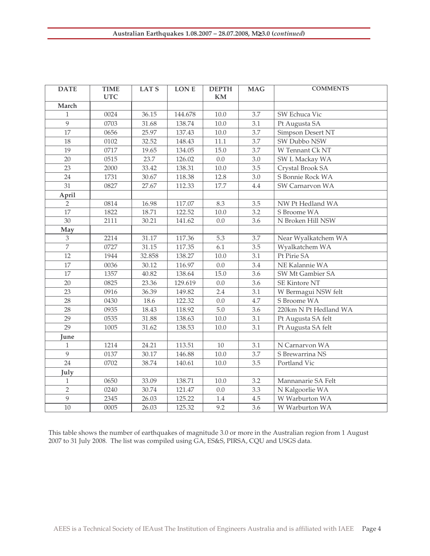| <b>DATE</b>     | <b>TIME</b><br><b>UTC</b> | LAT <sub>S</sub> | LON E   | <b>DEPTH</b><br><b>KM</b> | <b>MAG</b> | <b>COMMENTS</b>       |
|-----------------|---------------------------|------------------|---------|---------------------------|------------|-----------------------|
| March           |                           |                  |         |                           |            |                       |
| $\mathbf{1}$    | 0024                      | 36.15            | 144.678 | 10.0                      | 3.7        | SW Echuca Vic         |
| 9               | 0703                      | 31.68            | 138.74  | 10.0                      | 3.1        | Pt Augusta SA         |
| 17              | 0656                      | 25.97            | 137.43  | 10.0                      | 3.7        | Simpson Desert NT     |
| 18              | 0102                      | 32.52            | 148.43  | 11.1                      | 3.7        | SW Dubbo NSW          |
| 19              | 0717                      | 19.65            | 134.05  | 15.0                      | 3.7        | W Tennant Ck NT       |
| 20              | 0515                      | 23.7             | 126.02  | 0.0                       | 3.0        | SW L Mackay WA        |
| 23              | 2000                      | 33.42            | 138.31  | 10.0                      | 3.5        | Crystal Brook SA      |
| 24              | 1731                      | 30.67            | 118.38  | 12.8                      | 3.0        | S Bonnie Rock WA      |
| 31              | 0827                      | 27.67            | 112.33  | 17.7                      | 4.4        | SW Carnarvon WA       |
| April           |                           |                  |         |                           |            |                       |
| $\overline{2}$  | 0814                      | 16.98            | 117.07  | 8.3                       | 3.5        | NW Pt Hedland WA      |
| $\overline{17}$ | 1822                      | 18.71            | 122.52  | 10.0                      | 3.2        | S Broome WA           |
| 30              | 2111                      | 30.21            | 141.62  | 0.0                       | 3.6        | N Broken Hill NSW     |
| May             |                           |                  |         |                           |            |                       |
| $\overline{3}$  | 2214                      | 31.17            | 117.36  | $\overline{5.3}$          | 3.7        | Near Wyalkatchem WA   |
| $\overline{7}$  | 0727                      | 31.15            | 117.35  | 6.1                       | 3.5        | Wyalkatchem WA        |
| 12              | 1944                      | 32.858           | 138.27  | 10.0                      | 3.1        | Pt Pirie SA           |
| 17              | 0036                      | 30.12            | 116.97  | 0.0                       | 3.4        | NE Kalannie WA        |
| $\overline{17}$ | 1357                      | 40.82            | 138.64  | 15.0                      | 3.6        | SW Mt Gambier SA      |
| 20              | 0825                      | 23.36            | 129.619 | $0.0\,$                   | 3.6        | <b>SE Kintore NT</b>  |
| 23              | 0916                      | 36.39            | 149.82  | 2.4                       | 3.1        | W Bermagui NSW felt   |
| 28              | 0430                      | 18.6             | 122.32  | 0.0                       | 4.7        | S Broome WA           |
| 28              | 0935                      | 18.43            | 118.92  | $5.0\,$                   | 3.6        | 220km N Pt Hedland WA |
| 29              | 0535                      | 31.88            | 138.63  | 10.0                      | 3.1        | Pt Augusta SA felt    |
| 29              | 1005                      | 31.62            | 138.53  | 10.0                      | 3.1        | Pt Augusta SA felt    |
| June            |                           |                  |         |                           |            |                       |
| $\mathbf{1}$    | 1214                      | 24.21            | 113.51  | 10                        | 3.1        | N Carnarvon WA        |
| $\overline{9}$  | 0137                      | 30.17            | 146.88  | 10.0                      | 3.7        | S Brewarrina NS       |
| 24              | 0702                      | 38.74            | 140.61  | 10.0                      | 3.5        | Portland Vic          |
| July            |                           |                  |         |                           |            |                       |
| $\mathbf{1}$    | 0650                      | 33.09            | 138.71  | 10.0                      | 3.2        | Mannanarie SA Felt    |
| $\overline{2}$  | 0240                      | 30.74            | 121.47  | 0.0                       | 3.3        | N Kalgoorlie WA       |
| 9               | 2345                      | 26.03            | 125.22  | 1.4                       | 4.5        | W Warburton WA        |
| 10              | 0005                      | 26.03            | 125.32  | 9.2                       | 3.6        | W Warburton WA        |

This table shows the number of earthquakes of magnitude 3.0 or more in the Australian region from 1 August to 31 July 2008. The list was compiled using GA, ES&S, PIRSA, CQU and USGS data.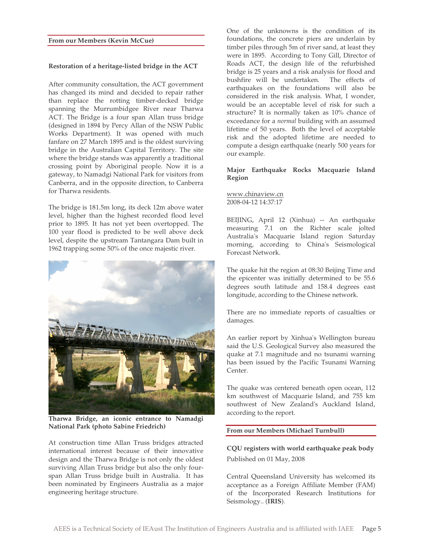#### **From our Members (Kevin McCue)**

#### **Restoration of a heritage-listed bridge in the ACT**

After community consultation, the ACT government has changed its mind and decided to repair rather than replace the rotting timber-decked bridge spanning the Murrumbidgee River near Tharwa ACT. The Bridge is a four span Allan truss bridge (designed in 1894 by Percy Allan of the NSW Public Works Department). It was opened with much fanfare on 27 March 1895 and is the oldest surviving bridge in the Australian Capital Territory. The site where the bridge stands was apparently a traditional crossing point by Aboriginal people. Now it is a gateway, to Namadgi National Park for visitors from Canberra, and in the opposite direction, to Canberra for Tharwa residents.

The bridge is 181.5m long, its deck 12m above water level, higher than the highest recorded flood level prior to 1895. It has not yet been overtopped. The 100 year flood is predicted to be well above deck level, despite the upstream Tantangara Dam built in 1962 trapping some 50% of the once majestic river.



**Tharwa Bridge, an iconic entrance to Namadgi National Park (photo Sabine Friedrich)**

At construction time Allan Truss bridges attracted international interest because of their innovative design and the Tharwa Bridge is not only the oldest surviving Allan Truss bridge but also the only fourspan Allan Truss bridge built in Australia. It has been nominated by Engineers Australia as a major engineering heritage structure.

One of the unknowns is the condition of its foundations, the concrete piers are underlain by timber piles through 5m of river sand, at least they were in 1895. According to Tony Gill, Director of Roads ACT, the design life of the refurbished bridge is 25 years and a risk analysis for flood and bushfire will be undertaken. The effects of earthquakes on the foundations will also be considered in the risk analysis. What, I wonder, would be an acceptable level of risk for such a structure? It is normally taken as 10% chance of exceedance for a *normal* building with an assumed lifetime of 50 years. Both the level of acceptable risk and the adopted lifetime are needed to compute a design earthquake (nearly 500 years for our example.

# **Major Earthquake Rocks Macquarie Island Region**

www.chinaview.cn 2008-04-12 14:37:17

BEIJING, April 12 (Xinhua) -- An earthquake measuring 7.1 on the Richter scale jolted Australia's Macquarie Island region Saturday morning, according to China's Seismological Forecast Network.

The quake hit the region at 08:30 Beijing Time and the epicenter was initially determined to be 55.6 degrees south latitude and 158.4 degrees east longitude, according to the Chinese network.

There are no immediate reports of casualties or damages.

An earlier report by Xinhua's Wellington bureau said the U.S. Geological Survey also measured the quake at 7.1 magnitude and no tsunami warning has been issued by the Pacific Tsunami Warning Center.

The quake was centered beneath open ocean, 112 km southwest of Macquarie Island, and 755 km southwest of New Zealand's Auckland Island, according to the report.

#### **From our Members (Michael Turnbull)**

**CQU registers with world earthquake peak body** Published on 01 May, 2008

Central Queensland University has welcomed its acceptance as a Foreign Affiliate Member (FAM) of the Incorporated Research Institutions for Seismology.. (**IRIS**).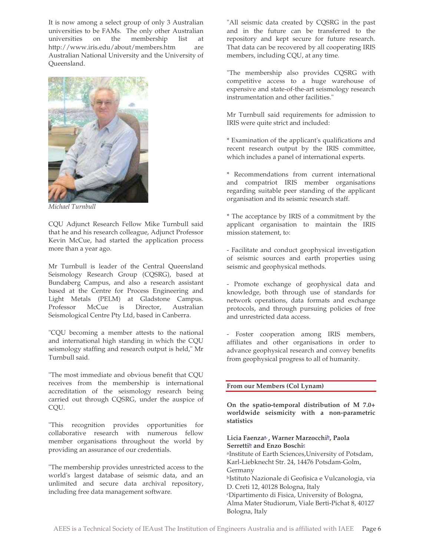It is now among a select group of only 3 Australian universities to be FAMs. The only other Australian universities on the membership list at http://www.iris.edu/about/members.htm are Australian National University and the University of Queensland.



*Michael Turnbull*

CQU Adjunct Research Fellow Mike Turnbull said that he and his research colleague, Adjunct Professor Kevin McCue, had started the application process more than a year ago.

Mr Turnbull is leader of the Central Queensland Seismology Research Group (CQSRG), based at Bundaberg Campus, and also a research assistant based at the Centre for Process Engineering and Light Metals (PELM) at Gladstone Campus. Professor McCue is Director, Australian Seismological Centre Pty Ltd, based in Canberra.

"CQU becoming a member attests to the national and international high standing in which the CQU seismology staffing and research output is held," Mr Turnbull said.

"The most immediate and obvious benefit that CQU receives from the membership is international accreditation of the seismology research being carried out through CQSRG, under the auspice of CQU.

"This recognition provides opportunities for collaborative research with numerous fellow member organisations throughout the world by providing an assurance of our credentials.

"The membership provides unrestricted access to the world's largest database of seismic data, and an unlimited and secure data archival repository, including free data management software.

"All seismic data created by CQSRG in the past and in the future can be transferred to the repository and kept secure for future research. That data can be recovered by all cooperating IRIS members, including CQU, at any time.

"The membership also provides CQSRG with competitive access to a huge warehouse of expensive and state-of-the-art seismology research instrumentation and other facilities."

Mr Turnbull said requirements for admission to IRIS were quite strict and included:

\* Examination of the applicant's qualifications and recent research output by the IRIS committee, which includes a panel of international experts.

\* Recommendations from current international and compatriot IRIS member organisations regarding suitable peer standing of the applicant organisation and its seismic research staff.

\* The acceptance by IRIS of a commitment by the applicant organisation to maintain the IRIS mission statement, to:

- Facilitate and conduct geophysical investigation of seismic sources and earth properties using seismic and geophysical methods.

- Promote exchange of geophysical data and knowledge, both through use of standards for network operations, data formats and exchange protocols, and through pursuing policies of free and unrestricted data access.

- Foster cooperation among IRIS members, affiliates and other organisations in order to advance geophysical research and convey benefits from geophysical progress to all of humanity.

# **From our Members (Col Lynam)**

**On the spatio-temporal distribution of M 7.0+ worldwide seismicity with a non-parametric statistics**

# **Licia Faenzaa, , Warner Marzocchib, Paola Serrettib and Enzo Boschic**

aInstitute of Earth Sciences,University of Potsdam, Karl-Liebknecht Str. 24, 14476 Potsdam-Golm, Germany bIstituto Nazionale di Geofisica e Vulcanologia, via D. Creti 12, 40128 Bologna, Italy

cDipartimento di Fisica, University of Bologna, Alma Mater Studiorum, Viale Berti-Pichat 8, 40127 Bologna, Italy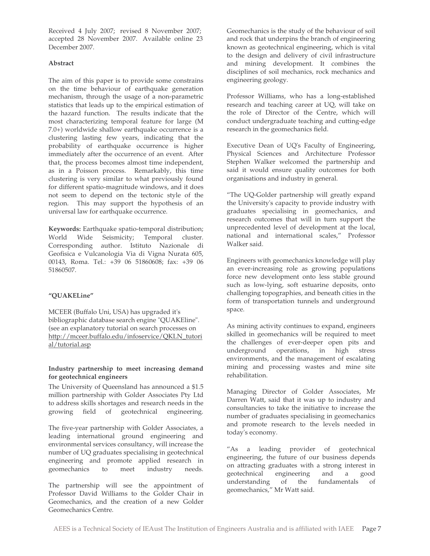Received 4 July 2007; revised 8 November 2007; accepted 28 November 2007. Available online 23 December 2007.

# **Abstract**

The aim of this paper is to provide some constrains on the time behaviour of earthquake generation mechanism, through the usage of a non-parametric statistics that leads up to the empirical estimation of the hazard function. The results indicate that the most characterizing temporal feature for large (M 7.0+) worldwide shallow earthquake occurrence is a clustering lasting few years, indicating that the probability of earthquake occurrence is higher immediately after the occurrence of an event. After that, the process becomes almost time independent, as in a Poisson process. Remarkably, this time clustering is very similar to what previously found for different spatio-magnitude windows, and it does not seem to depend on the tectonic style of the region. This may support the hypothesis of an universal law for earthquake occurrence.

**Keywords:** Earthquake spatio-temporal distribution; World Wide Seismicity; Temporal cluster. Corresponding author. Istituto Nazionale di Geofisica e Vulcanologia Via di Vigna Nurata 605, 00143, Roma. Tel.: +39 06 51860608; fax: +39 06 51860507.

# **"QUAKELine"**

MCEER (Buffalo Uni, USA) has upgraded it's bibliographic database search engine "QUAKEline". (see an explanatory tutorial on search processes on http://mceer.buffalo.edu/infoservice/QKLN\_tutori al/tutorial.asp

# **Industry partnership to meet increasing demand for geotechnical engineers**

The University of Queensland has announced a \$1.5 million partnership with Golder Associates Pty Ltd to address skills shortages and research needs in the growing field of geotechnical engineering.

The five-year partnership with Golder Associates, a leading international ground engineering and environmental services consultancy, will increase the number of UQ graduates specialising in geotechnical engineering and promote applied research in geomechanics to meet industry needs.

The partnership will see the appointment of Professor David Williams to the Golder Chair in Geomechanics, and the creation of a new Golder Geomechanics Centre.

Geomechanics is the study of the behaviour of soil and rock that underpins the branch of engineering known as geotechnical engineering, which is vital to the design and delivery of civil infrastructure and mining development. It combines the disciplines of soil mechanics, rock mechanics and engineering geology.

Professor Williams, who has a long-established research and teaching career at UQ, will take on the role of Director of the Centre, which will conduct undergraduate teaching and cutting-edge research in the geomechanics field.

Executive Dean of UQ's Faculty of Engineering, Physical Sciences and Architecture Professor Stephen Walker welcomed the partnership and said it would ensure quality outcomes for both organisations and industry in general.

"The UQ-Golder partnership will greatly expand the University's capacity to provide industry with graduates specialising in geomechanics, and research outcomes that will in turn support the unprecedented level of development at the local, national and international scales," Professor Walker said.

Engineers with geomechanics knowledge will play an ever-increasing role as growing populations force new development onto less stable ground such as low-lying, soft estuarine deposits, onto challenging topographies, and beneath cities in the form of transportation tunnels and underground space.

As mining activity continues to expand, engineers skilled in geomechanics will be required to meet the challenges of ever-deeper open pits and underground operations, in high stress environments, and the management of escalating mining and processing wastes and mine site rehabilitation.

Managing Director of Golder Associates, Mr Darren Watt, said that it was up to industry and consultancies to take the initiative to increase the number of graduates specialising in geomechanics and promote research to the levels needed in today's economy.

"As a leading provider of geotechnical engineering, the future of our business depends on attracting graduates with a strong interest in geotechnical engineering and a good understanding of the fundamentals of geomechanics," Mr Watt said.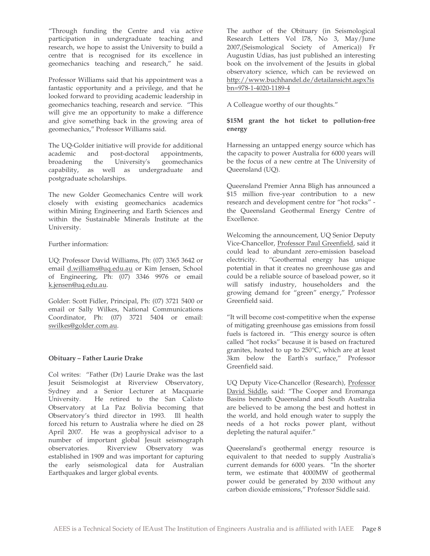"Through funding the Centre and via active participation in undergraduate teaching and research, we hope to assist the University to build a centre that is recognised for its excellence in geomechanics teaching and research," he said.

Professor Williams said that his appointment was a fantastic opportunity and a privilege, and that he looked forward to providing academic leadership in geomechanics teaching, research and service. "This will give me an opportunity to make a difference and give something back in the growing area of geomechanics," Professor Williams said.

The UQ-Golder initiative will provide for additional academic and post-doctoral appointments, broadening the University's geomechanics capability, as well as undergraduate and postgraduate scholarships.

The new Golder Geomechanics Centre will work closely with existing geomechanics academics within Mining Engineering and Earth Sciences and within the Sustainable Minerals Institute at the University.

# Further information:

UQ: Professor David Williams, Ph: (07) 3365 3642 or email d.williams@uq.edu.au or Kim Jensen, School of Engineering, Ph: (07) 3346 9976 or email k.jensen@uq.edu.au.

Golder: Scott Fidler, Principal, Ph: (07) 3721 5400 or email or Sally Wilkes, National Communications Coordinator, Ph: (07) 3721 5404 or email: swilkes@golder.com.au.

# **Obituary – Father Laurie Drake**

Col writes: "Father (Dr) Laurie Drake was the last Jesuit Seismologist at Riverview Observatory, Sydney and a Senior Lecturer at Macquarie University. He retired to the San Calixto Observatory at La Paz Bolivia becoming that Observatory's third director in 1993. Ill health forced his return to Australia where he died on 28 April 2007. He was a geophysical advisor to a number of important global Jesuit seismograph observatories. Riverview Observatory was established in 1909 and was important for capturing the early seismological data for Australian Earthquakes and larger global events.

The author of the Obituary (in Seismological Research Letters Vol l78, No 3, May/June 2007,(Seismological Society of America)) Fr Augustin Udias, has just published an interesting book on the involvement of the Jesuits in global observatory science, which can be reviewed on http://www.buchhandel.de/detailansicht.aspx?is bn=978-1-4020-1189-4

A Colleague worthy of our thoughts."

# **\$15M grant the hot ticket to pollution-free energy**

Harnessing an untapped energy source which has the capacity to power Australia for 6000 years will be the focus of a new centre at The University of Queensland (UQ).

Queensland Premier Anna Bligh has announced a \$15 million five-year contribution to a new research and development centre for "hot rocks" the Queensland Geothermal Energy Centre of Excellence.

Welcoming the announcement, UQ Senior Deputy Vice-Chancellor, Professor Paul Greenfield, said it could lead to abundant zero-emission baseload electricity. "Geothermal energy has unique potential in that it creates no greenhouse gas and could be a reliable source of baseload power, so it will satisfy industry, householders and the growing demand for "green" energy," Professor Greenfield said.

"It will become cost-competitive when the expense of mitigating greenhouse gas emissions from fossil fuels is factored in. "This energy source is often called "hot rocks" because it is based on fractured granites, heated to up to 250°C, which are at least 3km below the Earth's surface," Professor Greenfield said.

UQ Deputy Vice-Chancellor (Research), Professor David Siddle, said: "The Cooper and Eromanga Basins beneath Queensland and South Australia are believed to be among the best and hottest in the world, and hold enough water to supply the needs of a hot rocks power plant, without depleting the natural aquifer."

Queensland's geothermal energy resource is equivalent to that needed to supply Australia's current demands for 6000 years. "In the shorter term, we estimate that 4000MW of geothermal power could be generated by 2030 without any carbon dioxide emissions," Professor Siddle said.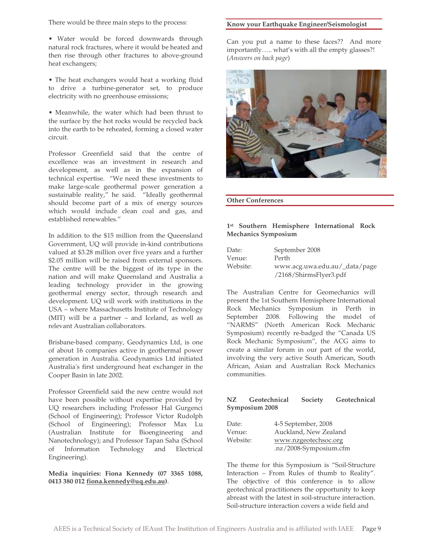There would be three main steps to the process:

- Water would be forced downwards through natural rock fractures, where it would be heated and then rise through other fractures to above-ground heat exchangers;
- The heat exchangers would heat a working fluid to drive a turbine-generator set, to produce electricity with no greenhouse emissions;
- Meanwhile, the water which had been thrust to the surface by the hot rocks would be recycled back into the earth to be reheated, forming a closed water circuit.

Professor Greenfield said that the centre of excellence was an investment in research and development, as well as in the expansion of technical expertise. "We need these investments to make large-scale geothermal power generation a sustainable reality," he said. "Ideally geothermal should become part of a mix of energy sources which would include clean coal and gas, and established renewables."

In addition to the \$15 million from the Queensland Government, UQ will provide in-kind contributions valued at \$3.28 million over five years and a further \$2.05 million will be raised from external sponsors. The centre will be the biggest of its type in the nation and will make Queensland and Australia a leading technology provider in the growing geothermal energy sector, through research and development. UQ will work with institutions in the USA – where Massachusetts Institute of Technology (MIT) will be a partner – and Iceland, as well as relevant Australian collaborators.

Brisbane-based company, Geodynamics Ltd, is one of about 16 companies active in geothermal power generation in Australia. Geodynamics Ltd initiated Australia's first underground heat exchanger in the Cooper Basin in late 2002.

Professor Greenfield said the new centre would not have been possible without expertise provided by UQ researchers including Professor Hal Gurgenci (School of Engineering); Professor Victor Rudolph (School of Engineering); Professor Max Lu (Australian Institute for Bioengineering and Nanotechnology); and Professor Tapan Saha (School of Information Technology and Electrical Engineering).

# **Media inquiries: Fiona Kennedy (07 3365 1088, 0413 380 012 fiona.kennedy@uq.edu.au)**.

#### **Know your Earthquake Engineer/Seismologist**

Can you put a name to these faces?? And more importantly….. what's with all the empty glasses?! (*Answers on back page*)



**Other Conferences**

# **1st Southern Hemisphere International Rock Mechanics Symposium**

| Date:    | September 2008                |
|----------|-------------------------------|
| Venue:   | Perth                         |
| Website: | www.acg.uwa.edu.au/_data/page |
|          | /2168/ShirmsFlyer3.pdf        |

The Australian Centre for Geomechanics will present the 1st Southern Hemisphere International Rock Mechanics Symposium in Perth in September 2008. Following the model of "NARMS" (North American Rock Mechanic Symposium) recently re-badged the "Canada US Rock Mechanic Symposium", the ACG aims to create a similar forum in our part of the world, involving the very active South American, South African, Asian and Australian Rock Mechanics communities.

# **NZ Geotechnical Society Geotechnical Symposium 2008**

| Date:    | 4-5 September, 2008    |
|----------|------------------------|
| Venue:   | Auckland, New Zealand  |
| Website: | www.nzgeotechsoc.org   |
|          | .nz/2008-Symposium.cfm |

The theme for this Symposium is "Soil-Structure Interaction – From Rules of thumb to Reality". The objective of this conference is to allow geotechnical practitioners the opportunity to keep abreast with the latest in soil-structure interaction. Soil-structure interaction covers a wide field and